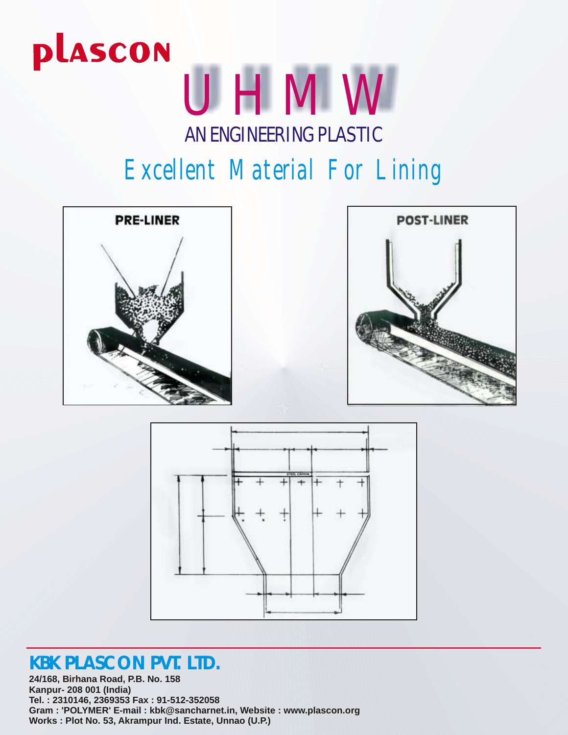

### *Excellent Material For Lining*







### **KBK PLASCON PVT. LTD.**

**24/168, Birhana Road, P.B. No. 158 Kanpur- 208 001 (India) Tel. : 2310146, 2369353 Fax : 91-512-352058 Gram : 'POLYMER' E-mail : kbk@sancharnet.in, Website : www.plascon.org Works : Plot No. 53, Akrampur Ind. Estate, Unnao (U.P.)**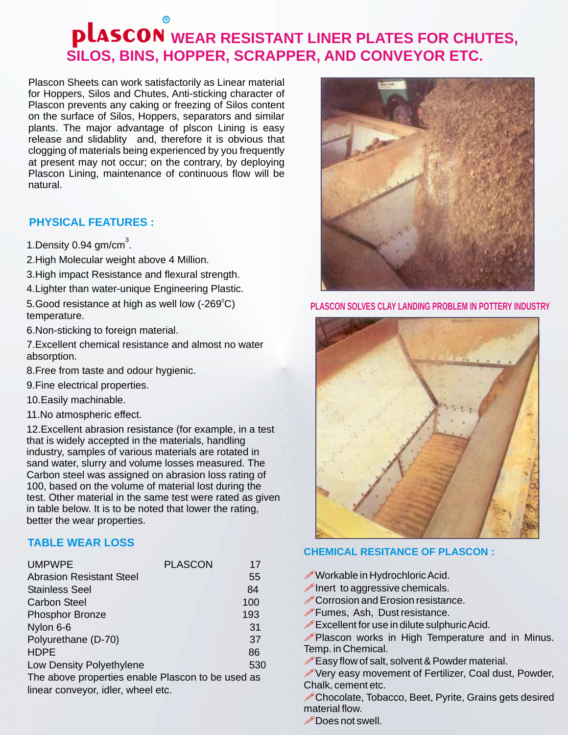### **R WEAR RESISTANT LINER PLATES FOR CHUTES, SILOS, BINS, HOPPER, SCRAPPER, AND CONVEYOR ETC.**

Plascon Sheets can work satisfactorily as Linear material for Hoppers, Silos and Chutes, Anti-sticking character of Plascon prevents any caking or freezing of Silos content on the surface of Silos, Hoppers, separators and similar plants. The major advantage of plscon Lining is easy release and slidablity and, therefore it is obvious that clogging of materials being experienced by you frequently at present may not occur; on the contrary, by deploying Plascon Lining, maintenance of continuous flow will be natural.

### **PHYSICAL FEATURES :**

- 1. Density 0.94  $gm/cm<sup>3</sup>$ .
- 2.High Molecular weight above 4 Million.
- 3.High impact Resistance and flexural strength.
- 4.Lighter than water-unique Engineering Plastic.
- 5.Good resistance at high as well low (-269 $^{\circ}$ C) temperature.
- 6.Non-sticking to foreign material.
- 7.Excellent chemical resistance and almost no water absorption.
- 8.Free from taste and odour hygienic.
- 9.Fine electrical properties.
- 10.Easily machinable.
- 11.No atmospheric effect.

12.Excellent abrasion resistance (for example, in a test that is widely accepted in the materials, handling industry, samples of various materials are rotated in sand water, slurry and volume losses measured. The Carbon steel was assigned on abrasion loss rating of 100, based on the volume of material lost during the test. Other material in the same test were rated as given in table below. It is to be noted that lower the rating, better the wear properties.

### **TABLE WEAR LOSS**

| <b>UMPWPE</b>                                     | <b>PLASCON</b> | 17  |
|---------------------------------------------------|----------------|-----|
| <b>Abrasion Resistant Steel</b>                   |                | 55  |
| <b>Stainless Seel</b>                             |                | 84  |
| <b>Carbon Steel</b>                               |                | 100 |
| <b>Phosphor Bronze</b>                            |                | 193 |
| Nylon 6-6                                         |                | 31  |
| Polyurethane (D-70)                               |                | 37  |
| <b>HDPE</b>                                       |                | 86  |
| Low Density Polyethylene                          |                | 530 |
| The above preparties enable Plassen to be used as |                |     |

above properties enable Plascon to be used as linear conveyor, idler, wheel etc.



**PLASCON SOLVES CLAY LANDING PROBLEM IN POTTERY INDUSTRY**



#### **CHEMICAL RESITANCE OF PLASCON :**

- *Norkable* in Hydrochloric Acid.
- $\mathscr{P}$  Inert to aggressive chemicals.
- Corrosion and Erosion resistance.
- *P*Fumes, Ash, Dust resistance.
- Excellent for use in dilute sulphuric Acid.
- Plascon works in High Temperature and in Minus. Temp. in Chemical.
- Easy flow of salt, solvent & Powder material.
- Very easy movement of Fertilizer, Coal dust, Powder, Chalk, cement etc.

Chocolate, Tobacco, Beet, Pyrite, Grains gets desired material flow.

*P* Does not swell.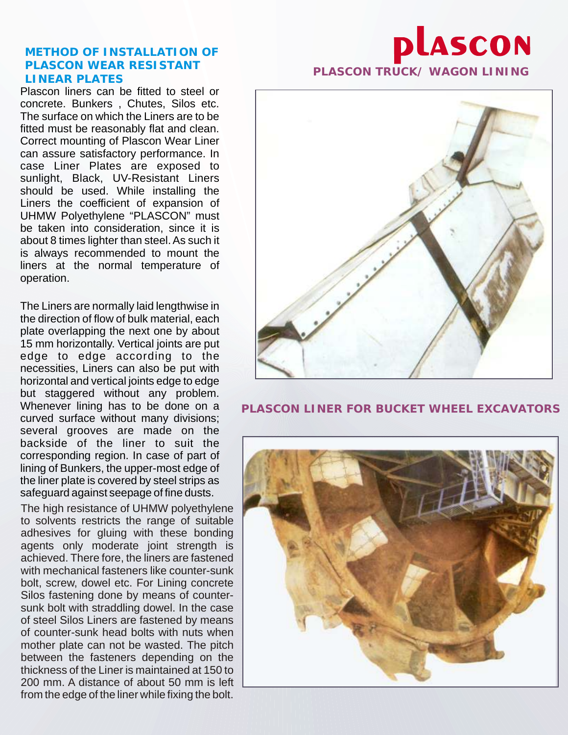### **METHOD OF INSTALLATION OF PLASCON WEAR RESISTANT LINEAR PLATES PLASCON TRUCK/ WAGON LINING**

Plascon liners can be fitted to steel or concrete. Bunkers , Chutes, Silos etc. The surface on which the Liners are to be fitted must be reasonably flat and clean. Correct mounting of Plascon Wear Liner can assure satisfactory performance. In case Liner Plates are exposed to sunlight, Black, UV-Resistant Liners should be used. While installing the Liners the coefficient of expansion of UHMW Polyethylene "PLASCON" must be taken into consideration, since it is about 8 times lighter than steel. As such it is always recommended to mount the liners at the normal temperature of operation.

The Liners are normally laid lengthwise in the direction of flow of bulk material, each plate overlapping the next one by about 15 mm horizontally. Vertical joints are put edge to edge according to the necessities, Liners can also be put with horizontal and vertical joints edge to edge but staggered without any problem. Whenever lining has to be done on a curved surface without many divisions; several grooves are made on the backside of the liner to suit the corresponding region. In case of part of lining of Bunkers, the upper-most edge of the liner plate is covered by steel strips as safeguard against seepage of fine dusts.

The high resistance of UHMW polyethylene to solvents restricts the range of suitable adhesives for gluing with these bonding agents only moderate joint strength is achieved. There fore, the liners are fastened with mechanical fasteners like counter-sunk bolt, screw, dowel etc. For Lining concrete Silos fastening done by means of countersunk bolt with straddling dowel. In the case of steel Silos Liners are fastened by means of counter-sunk head bolts with nuts when mother plate can not be wasted. The pitch between the fasteners depending on the thickness of the Liner is maintained at 150 to 200 mm. A distance of about 50 mm is left from the edge of the liner while fixing the bolt.

# **plascon**



### **PLASCON LINER FOR BUCKET WHEEL EXCAVATORS**